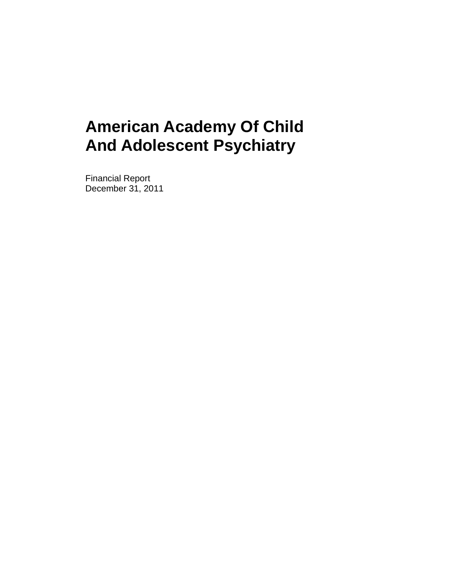Financial Report December 31, 2011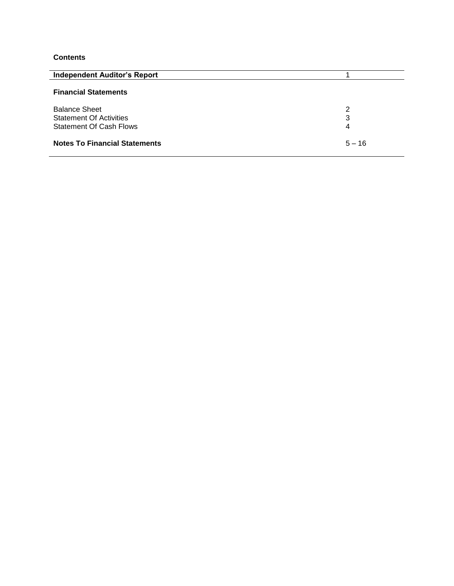# **Contents**

| <b>Independent Auditor's Report</b>                                                      |             |
|------------------------------------------------------------------------------------------|-------------|
| <b>Financial Statements</b>                                                              |             |
| <b>Balance Sheet</b><br><b>Statement Of Activities</b><br><b>Statement Of Cash Flows</b> | 2<br>3<br>4 |
| <b>Notes To Financial Statements</b>                                                     | $5 - 16$    |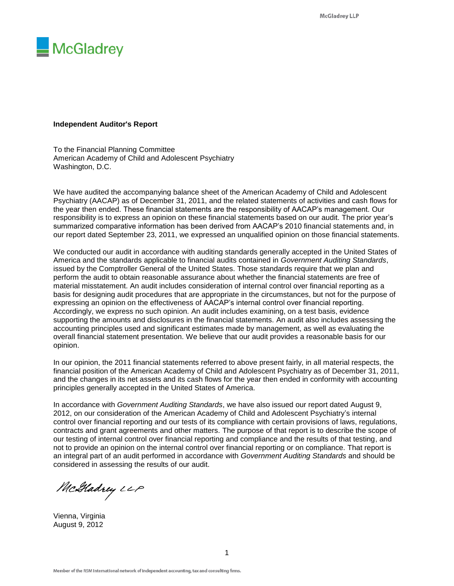

#### **Independent Auditor's Report**

To the Financial Planning Committee American Academy of Child and Adolescent Psychiatry Washington, D.C.

We have audited the accompanying balance sheet of the American Academy of Child and Adolescent Psychiatry (AACAP) as of December 31, 2011, and the related statements of activities and cash flows for the year then ended. These financial statements are the responsibility of AACAP's management. Our responsibility is to express an opinion on these financial statements based on our audit. The prior year's summarized comparative information has been derived from AACAP's 2010 financial statements and, in our report dated September 23, 2011, we expressed an unqualified opinion on those financial statements.

We conducted our audit in accordance with auditing standards generally accepted in the United States of America and the standards applicable to financial audits contained in *Government Auditing Standards*, issued by the Comptroller General of the United States. Those standards require that we plan and perform the audit to obtain reasonable assurance about whether the financial statements are free of material misstatement. An audit includes consideration of internal control over financial reporting as a basis for designing audit procedures that are appropriate in the circumstances, but not for the purpose of expressing an opinion on the effectiveness of AACAP's internal control over financial reporting. Accordingly, we express no such opinion. An audit includes examining, on a test basis, evidence supporting the amounts and disclosures in the financial statements. An audit also includes assessing the accounting principles used and significant estimates made by management, as well as evaluating the overall financial statement presentation. We believe that our audit provides a reasonable basis for our opinion.

In our opinion, the 2011 financial statements referred to above present fairly, in all material respects, the financial position of the American Academy of Child and Adolescent Psychiatry as of December 31, 2011, and the changes in its net assets and its cash flows for the year then ended in conformity with accounting principles generally accepted in the United States of America.

In accordance with *Government Auditing Standards*, we have also issued our report dated August 9, 2012, on our consideration of the American Academy of Child and Adolescent Psychiatry's internal control over financial reporting and our tests of its compliance with certain provisions of laws, regulations, contracts and grant agreements and other matters. The purpose of that report is to describe the scope of our testing of internal control over financial reporting and compliance and the results of that testing, and not to provide an opinion on the internal control over financial reporting or on compliance. That report is an integral part of an audit performed in accordance with *Government Auditing Standards* and should be considered in assessing the results of our audit.

McGladrey LLP

Vienna, Virginia August 9, 2012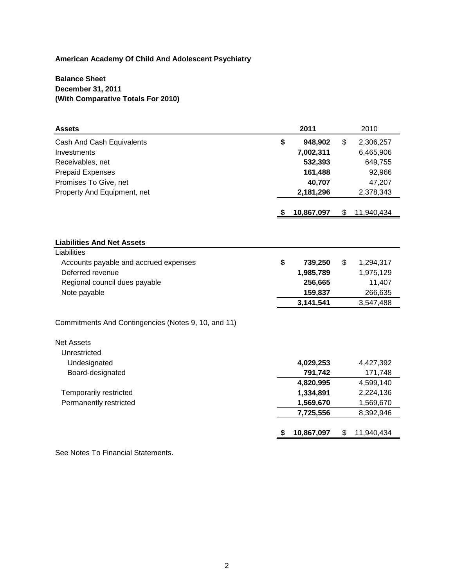# **Balance Sheet December 31, 2011 (With Comparative Totals For 2010)**

| <b>Assets</b>                                       | 2011          | 2010             |
|-----------------------------------------------------|---------------|------------------|
| Cash And Cash Equivalents                           | \$<br>948,902 | \$<br>2,306,257  |
| Investments                                         | 7,002,311     | 6,465,906        |
| Receivables, net                                    | 532,393       | 649,755          |
| <b>Prepaid Expenses</b>                             | 161,488       | 92,966           |
| Promises To Give, net                               | 40,707        | 47,207           |
| Property And Equipment, net                         | 2,181,296     | 2,378,343        |
|                                                     |               |                  |
|                                                     | 10,867,097    | \$<br>11,940,434 |
|                                                     |               |                  |
| <b>Liabilities And Net Assets</b>                   |               |                  |
| Liabilities                                         |               |                  |
| Accounts payable and accrued expenses               | \$<br>739,250 | \$<br>1,294,317  |
| Deferred revenue                                    | 1,985,789     | 1,975,129        |
| Regional council dues payable                       | 256,665       | 11,407           |
| Note payable                                        | 159,837       | 266,635          |
|                                                     | 3,141,541     | 3,547,488        |
| Commitments And Contingencies (Notes 9, 10, and 11) |               |                  |
| <b>Net Assets</b>                                   |               |                  |
| Unrestricted                                        |               |                  |
| Undesignated                                        | 4,029,253     | 4,427,392        |
| Board-designated                                    | 791,742       | 171,748          |
|                                                     | 4,820,995     | 4,599,140        |
| Temporarily restricted                              | 1,334,891     | 2,224,136        |
| Permanently restricted                              | 1,569,670     | 1,569,670        |
|                                                     | 7,725,556     | 8,392,946        |
|                                                     | 10,867,097    | \$<br>11,940,434 |

See Notes To Financial Statements.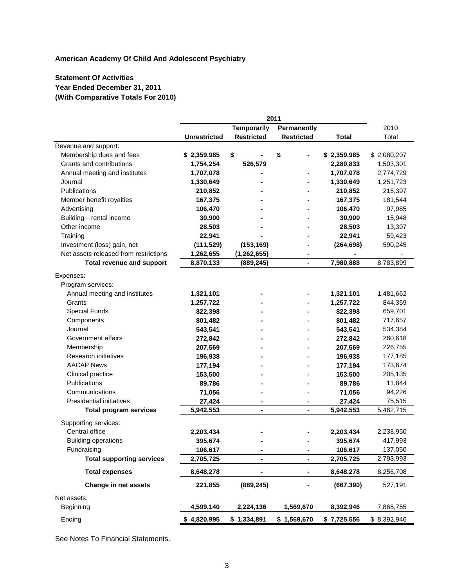# **Statement Of Activities Year Ended December 31, 2011 (With Comparative Totals For 2010)**

|                                           |                      |                    | 2011              |                      |                    |
|-------------------------------------------|----------------------|--------------------|-------------------|----------------------|--------------------|
|                                           |                      | <b>Temporarily</b> | Permanently       |                      | 2010               |
|                                           | <b>Unrestricted</b>  | <b>Restricted</b>  | <b>Restricted</b> | <b>Total</b>         | Total              |
| Revenue and support:                      |                      |                    |                   |                      |                    |
| Membership dues and fees                  | \$2,359,985          | \$                 | \$                | \$2,359,985          | \$2,080,207        |
| Grants and contributions                  | 1,754,254            | 526,579            |                   | 2,280,833            | 1,503,301          |
| Annual meeting and institutes             | 1,707,078            |                    |                   | 1,707,078            | 2,774,729          |
| Journal                                   | 1,330,649            |                    |                   | 1,330,649            | 1,251,723          |
| Publications                              | 210,852              |                    |                   | 210,852              | 215,397            |
| Member benefit royalties                  | 167,375              |                    |                   | 167,375              | 181,544            |
| Advertising                               | 106,470              |                    |                   | 106,470              | 97,985             |
| Building - rental income                  | 30,900               |                    |                   | 30,900               | 15,948             |
| Other income                              | 28,503               |                    |                   | 28,503               | 13,397             |
| Training                                  | 22,941               |                    |                   | 22,941               | 59,423             |
| Investment (loss) gain, net               | (111, 529)           | (153, 169)         |                   | (264, 698)           | 590,245            |
| Net assets released from restrictions     | 1,262,655            | (1, 262, 655)      |                   |                      |                    |
| <b>Total revenue and support</b>          | 8,870,133            | (889, 245)         |                   | 7,980,888            | 8,783,899          |
| Expenses:                                 |                      |                    |                   |                      |                    |
| Program services:                         |                      |                    |                   |                      |                    |
| Annual meeting and institutes             | 1,321,101            |                    |                   | 1,321,101            | 1,481,662          |
| Grants                                    | 1,257,722            |                    |                   | 1,257,722            | 844,359            |
| <b>Special Funds</b>                      | 822,398              |                    |                   | 822,398              | 659,701            |
| Components                                | 801,482              |                    |                   | 801,482              | 717,657            |
| Journal                                   | 543,541              |                    |                   | 543,541              | 534,384            |
| Government affairs                        | 272,842              |                    |                   | 272,842              | 260,618            |
| Membership                                | 207,569              |                    |                   | 207,569              | 226,755            |
| Research initiatives                      | 196,938              |                    |                   | 196,938              | 177,185            |
| <b>AACAP News</b>                         | 177,194              |                    |                   | 177,194              | 173,674            |
| Clinical practice                         | 153,500              |                    |                   | 153,500              | 205,135            |
| Publications                              | 89,786               |                    |                   | 89,786               | 11,844             |
| Communications                            | 71,056               |                    |                   | 71,056               | 94,226             |
| <b>Presidential initiatives</b>           | 27,424               | -                  |                   | 27,424               | 75,515             |
| <b>Total program services</b>             | 5,942,553            | $\blacksquare$     | $\blacksquare$    | 5,942,553            | 5,462,715          |
| Supporting services:                      |                      |                    |                   |                      |                    |
| Central office                            |                      |                    |                   |                      | 2,238,950          |
|                                           | 2,203,434<br>395,674 |                    |                   | 2,203,434<br>395,674 |                    |
| <b>Building operations</b><br>Fundraising |                      |                    |                   |                      | 417,993<br>137,050 |
|                                           | 106,617              | ۰                  |                   | 106,617              |                    |
| <b>Total supporting services</b>          | 2,705,725            | ۰                  |                   | 2,705,725            | 2,793,993          |
| <b>Total expenses</b>                     | 8,648,278            |                    |                   | 8,648,278            | 8,256,708          |
| Change in net assets                      | 221,855              | (889, 245)         |                   | (667, 390)           | 527,191            |
| Net assets:                               |                      |                    |                   |                      |                    |
| Beginning                                 | 4,599,140            | 2,224,136          | 1,569,670         | 8,392,946            | 7,865,755          |
| Ending                                    | \$4,820,995          | \$1,334,891        | \$1,569,670       | \$7,725,556          | \$8,392,946        |

See Notes To Financial Statements.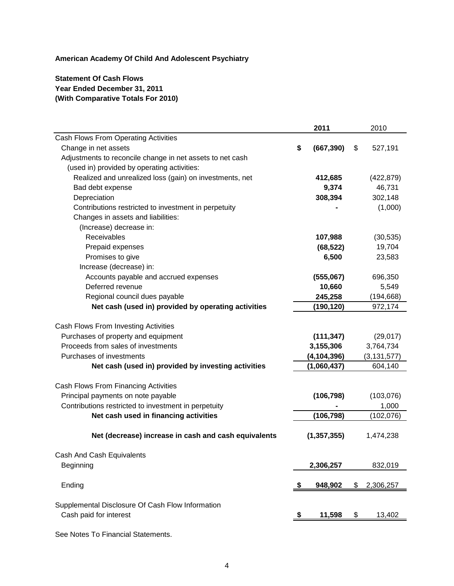# **Statement Of Cash Flows Year Ended December 31, 2011 (With Comparative Totals For 2010)**

|                                                           |    | 2011          | 2010            |
|-----------------------------------------------------------|----|---------------|-----------------|
| Cash Flows From Operating Activities                      |    |               |                 |
| Change in net assets                                      | \$ | (667, 390)    | \$<br>527,191   |
| Adjustments to reconcile change in net assets to net cash |    |               |                 |
| (used in) provided by operating activities:               |    |               |                 |
| Realized and unrealized loss (gain) on investments, net   |    | 412,685       | (422, 879)      |
| Bad debt expense                                          |    | 9,374         | 46,731          |
| Depreciation                                              |    | 308,394       | 302,148         |
| Contributions restricted to investment in perpetuity      |    |               | (1,000)         |
| Changes in assets and liabilities:                        |    |               |                 |
| (Increase) decrease in:                                   |    |               |                 |
| Receivables                                               |    | 107,988       | (30, 535)       |
| Prepaid expenses                                          |    | (68, 522)     | 19,704          |
| Promises to give                                          |    | 6,500         | 23,583          |
| Increase (decrease) in:                                   |    |               |                 |
| Accounts payable and accrued expenses                     |    | (555,067)     | 696,350         |
| Deferred revenue                                          |    | 10,660        | 5,549           |
| Regional council dues payable                             |    | 245,258       | (194, 668)      |
| Net cash (used in) provided by operating activities       |    | (190, 120)    | 972,174         |
|                                                           |    |               |                 |
| Cash Flows From Investing Activities                      |    |               |                 |
| Purchases of property and equipment                       |    | (111, 347)    | (29, 017)       |
| Proceeds from sales of investments                        |    | 3,155,306     | 3,764,734       |
| Purchases of investments                                  |    | (4, 104, 396) | (3, 131, 577)   |
| Net cash (used in) provided by investing activities       |    | (1,060,437)   | 604,140         |
|                                                           |    |               |                 |
| Cash Flows From Financing Activities                      |    |               |                 |
| Principal payments on note payable                        |    | (106, 798)    | (103,076)       |
| Contributions restricted to investment in perpetuity      |    |               | 1,000           |
| Net cash used in financing activities                     |    | (106, 798)    | (102, 076)      |
| Net (decrease) increase in cash and cash equivalents      |    | (1, 357, 355) | 1,474,238       |
| Cash And Cash Equivalents                                 |    |               |                 |
| Beginning                                                 |    | 2,306,257     | 832,019         |
|                                                           |    |               |                 |
| Ending                                                    | -5 | 948,902       | \$<br>2,306,257 |
|                                                           |    |               |                 |
| Supplemental Disclosure Of Cash Flow Information          |    |               |                 |
| Cash paid for interest                                    | \$ | 11,598        | \$<br>13,402    |
|                                                           |    |               |                 |

See Notes To Financial Statements.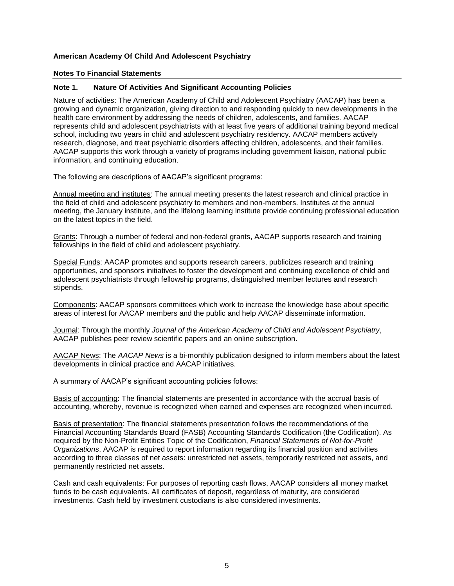#### **Notes To Financial Statements**

## **Note 1. Nature Of Activities And Significant Accounting Policies**

Nature of activities: The American Academy of Child and Adolescent Psychiatry (AACAP) has been a growing and dynamic organization, giving direction to and responding quickly to new developments in the health care environment by addressing the needs of children, adolescents, and families. AACAP represents child and adolescent psychiatrists with at least five years of additional training beyond medical school, including two years in child and adolescent psychiatry residency. AACAP members actively research, diagnose, and treat psychiatric disorders affecting children, adolescents, and their families. AACAP supports this work through a variety of programs including government liaison, national public information, and continuing education.

The following are descriptions of AACAP's significant programs:

Annual meeting and institutes: The annual meeting presents the latest research and clinical practice in the field of child and adolescent psychiatry to members and non-members. Institutes at the annual meeting, the January institute, and the lifelong learning institute provide continuing professional education on the latest topics in the field.

Grants: Through a number of federal and non-federal grants, AACAP supports research and training fellowships in the field of child and adolescent psychiatry.

Special Funds: AACAP promotes and supports research careers, publicizes research and training opportunities, and sponsors initiatives to foster the development and continuing excellence of child and adolescent psychiatrists through fellowship programs, distinguished member lectures and research stipends.

Components: AACAP sponsors committees which work to increase the knowledge base about specific areas of interest for AACAP members and the public and help AACAP disseminate information.

Journal: Through the monthly *Journal of the American Academy of Child and Adolescent Psychiatry*, AACAP publishes peer review scientific papers and an online subscription.

AACAP News: The *AACAP News* is a bi-monthly publication designed to inform members about the latest developments in clinical practice and AACAP initiatives.

A summary of AACAP's significant accounting policies follows:

Basis of accounting: The financial statements are presented in accordance with the accrual basis of accounting, whereby, revenue is recognized when earned and expenses are recognized when incurred.

Basis of presentation: The financial statements presentation follows the recommendations of the Financial Accounting Standards Board (FASB) Accounting Standards Codification (the Codification). As required by the Non-Profit Entities Topic of the Codification, *Financial Statements of Not-for-Profit Organizations*, AACAP is required to report information regarding its financial position and activities according to three classes of net assets: unrestricted net assets, temporarily restricted net assets, and permanently restricted net assets.

Cash and cash equivalents: For purposes of reporting cash flows, AACAP considers all money market funds to be cash equivalents. All certificates of deposit, regardless of maturity, are considered investments. Cash held by investment custodians is also considered investments.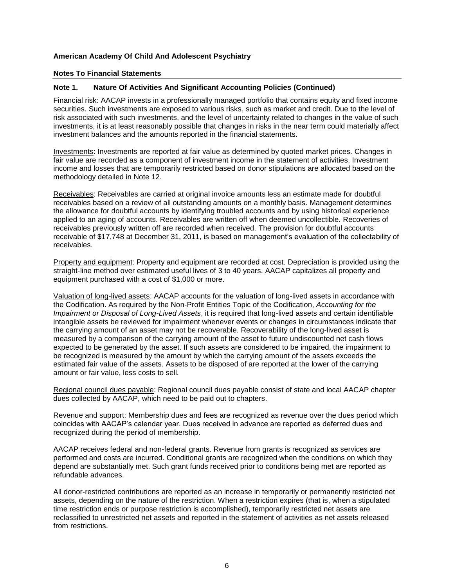#### **Notes To Financial Statements**

## **Note 1. Nature Of Activities And Significant Accounting Policies (Continued)**

Financial risk: AACAP invests in a professionally managed portfolio that contains equity and fixed income securities. Such investments are exposed to various risks, such as market and credit. Due to the level of risk associated with such investments, and the level of uncertainty related to changes in the value of such investments, it is at least reasonably possible that changes in risks in the near term could materially affect investment balances and the amounts reported in the financial statements.

Investments: Investments are reported at fair value as determined by quoted market prices. Changes in fair value are recorded as a component of investment income in the statement of activities. Investment income and losses that are temporarily restricted based on donor stipulations are allocated based on the methodology detailed in Note 12.

Receivables: Receivables are carried at original invoice amounts less an estimate made for doubtful receivables based on a review of all outstanding amounts on a monthly basis. Management determines the allowance for doubtful accounts by identifying troubled accounts and by using historical experience applied to an aging of accounts. Receivables are written off when deemed uncollectible. Recoveries of receivables previously written off are recorded when received. The provision for doubtful accounts receivable of \$17,748 at December 31, 2011, is based on management's evaluation of the collectability of receivables.

Property and equipment: Property and equipment are recorded at cost. Depreciation is provided using the straight-line method over estimated useful lives of 3 to 40 years. AACAP capitalizes all property and equipment purchased with a cost of \$1,000 or more.

Valuation of long-lived assets: AACAP accounts for the valuation of long-lived assets in accordance with the Codification. As required by the Non-Profit Entities Topic of the Codification, *Accounting for the Impairment or Disposal of Long-Lived Assets*, it is required that long-lived assets and certain identifiable intangible assets be reviewed for impairment whenever events or changes in circumstances indicate that the carrying amount of an asset may not be recoverable. Recoverability of the long-lived asset is measured by a comparison of the carrying amount of the asset to future undiscounted net cash flows expected to be generated by the asset. If such assets are considered to be impaired, the impairment to be recognized is measured by the amount by which the carrying amount of the assets exceeds the estimated fair value of the assets. Assets to be disposed of are reported at the lower of the carrying amount or fair value, less costs to sell.

Regional council dues payable: Regional council dues payable consist of state and local AACAP chapter dues collected by AACAP, which need to be paid out to chapters.

Revenue and support: Membership dues and fees are recognized as revenue over the dues period which coincides with AACAP's calendar year. Dues received in advance are reported as deferred dues and recognized during the period of membership.

AACAP receives federal and non-federal grants. Revenue from grants is recognized as services are performed and costs are incurred. Conditional grants are recognized when the conditions on which they depend are substantially met. Such grant funds received prior to conditions being met are reported as refundable advances.

All donor-restricted contributions are reported as an increase in temporarily or permanently restricted net assets, depending on the nature of the restriction. When a restriction expires (that is, when a stipulated time restriction ends or purpose restriction is accomplished), temporarily restricted net assets are reclassified to unrestricted net assets and reported in the statement of activities as net assets released from restrictions.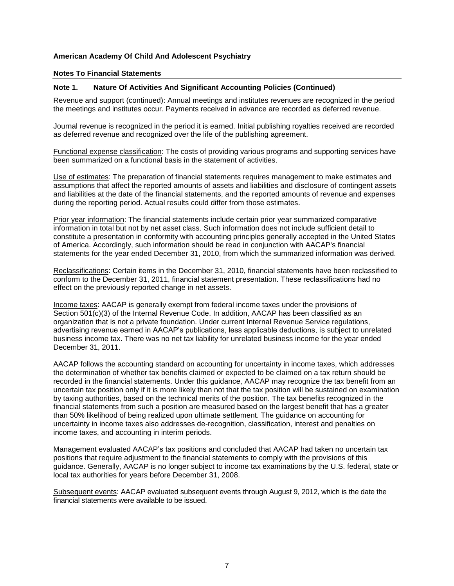#### **Notes To Financial Statements**

#### **Note 1. Nature Of Activities And Significant Accounting Policies (Continued)**

Revenue and support (continued): Annual meetings and institutes revenues are recognized in the period the meetings and institutes occur. Payments received in advance are recorded as deferred revenue.

Journal revenue is recognized in the period it is earned. Initial publishing royalties received are recorded as deferred revenue and recognized over the life of the publishing agreement.

Functional expense classification: The costs of providing various programs and supporting services have been summarized on a functional basis in the statement of activities.

Use of estimates: The preparation of financial statements requires management to make estimates and assumptions that affect the reported amounts of assets and liabilities and disclosure of contingent assets and liabilities at the date of the financial statements, and the reported amounts of revenue and expenses during the reporting period. Actual results could differ from those estimates.

Prior year information: The financial statements include certain prior year summarized comparative information in total but not by net asset class. Such information does not include sufficient detail to constitute a presentation in conformity with accounting principles generally accepted in the United States of America. Accordingly, such information should be read in conjunction with AACAP's financial statements for the year ended December 31, 2010, from which the summarized information was derived.

Reclassifications: Certain items in the December 31, 2010, financial statements have been reclassified to conform to the December 31, 2011, financial statement presentation. These reclassifications had no effect on the previously reported change in net assets.

Income taxes: AACAP is generally exempt from federal income taxes under the provisions of Section 501(c)(3) of the Internal Revenue Code. In addition, AACAP has been classified as an organization that is not a private foundation. Under current Internal Revenue Service regulations, advertising revenue earned in AACAP's publications, less applicable deductions, is subject to unrelated business income tax. There was no net tax liability for unrelated business income for the year ended December 31, 2011.

AACAP follows the accounting standard on accounting for uncertainty in income taxes, which addresses the determination of whether tax benefits claimed or expected to be claimed on a tax return should be recorded in the financial statements. Under this guidance, AACAP may recognize the tax benefit from an uncertain tax position only if it is more likely than not that the tax position will be sustained on examination by taxing authorities, based on the technical merits of the position. The tax benefits recognized in the financial statements from such a position are measured based on the largest benefit that has a greater than 50% likelihood of being realized upon ultimate settlement. The guidance on accounting for uncertainty in income taxes also addresses de-recognition, classification, interest and penalties on income taxes, and accounting in interim periods.

Management evaluated AACAP's tax positions and concluded that AACAP had taken no uncertain tax positions that require adjustment to the financial statements to comply with the provisions of this guidance. Generally, AACAP is no longer subject to income tax examinations by the U.S. federal, state or local tax authorities for years before December 31, 2008.

Subsequent events: AACAP evaluated subsequent events through August 9, 2012, which is the date the financial statements were available to be issued.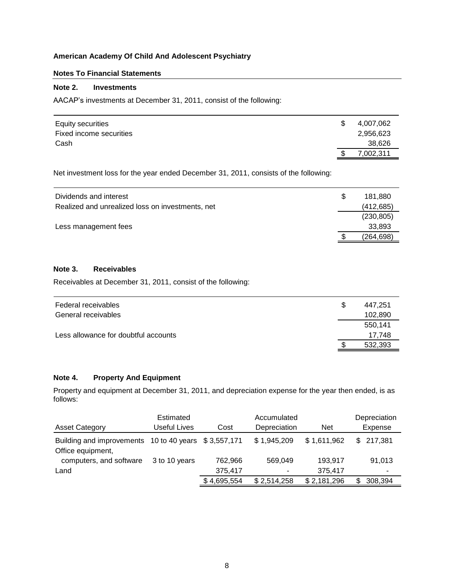# **Notes To Financial Statements**

# **Note 2. Investments**

AACAP's investments at December 31, 2011, consist of the following:

| Equity securities       | 4,007,062 |
|-------------------------|-----------|
| Fixed income securities | 2,956,623 |
| Cash                    | 38,626    |
|                         | 7,002,311 |

Net investment loss for the year ended December 31, 2011, consists of the following:

| Dividends and interest                           | 181.880    |
|--------------------------------------------------|------------|
| Realized and unrealized loss on investments, net | (412, 685) |
|                                                  | (230, 805) |
| Less management fees                             | 33.893     |
|                                                  | (264,698)  |

# **Note 3. Receivables**

Receivables at December 31, 2011, consist of the following:

| Federal receivables                  | S | 447.251 |
|--------------------------------------|---|---------|
| General receivables                  |   | 102,890 |
|                                      |   | 550.141 |
| Less allowance for doubtful accounts |   | 17.748  |
|                                      | S | 532,393 |

# **Note 4. Property And Equipment**

Property and equipment at December 31, 2011, and depreciation expense for the year then ended, is as follows:

|                                                      | Estimated     |             | Accumulated              | Depreciation |           |
|------------------------------------------------------|---------------|-------------|--------------------------|--------------|-----------|
| <b>Asset Category</b>                                | Useful Lives  | Cost        | Depreciation             | <b>Net</b>   | Expense   |
| Building and improvements 10 to 40 years \$3,557,171 |               |             | \$1,945,209              | \$1,611,962  | \$217,381 |
| Office equipment,                                    |               |             |                          |              |           |
| computers, and software                              | 3 to 10 years | 762.966     | 569.049                  | 193.917      | 91.013    |
| Land                                                 |               | 375.417     | $\overline{\phantom{a}}$ | 375.417      |           |
|                                                      |               | \$4,695,554 | \$2,514,258              | \$2,181,296  | 308,394   |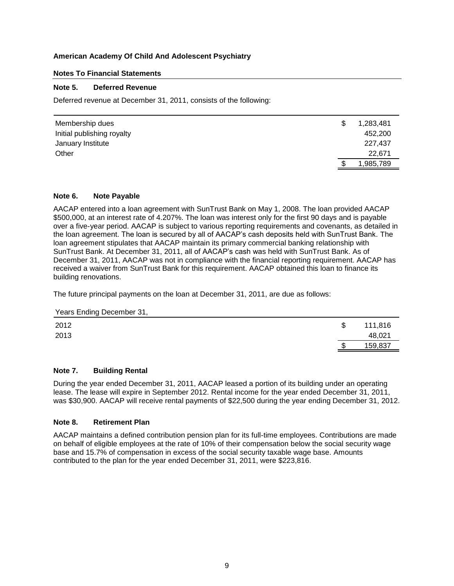#### **Notes To Financial Statements**

## **Note 5. Deferred Revenue**

Deferred revenue at December 31, 2011, consists of the following:

| Membership dues            | 1,283,481 |
|----------------------------|-----------|
| Initial publishing royalty | 452,200   |
| January Institute          | 227,437   |
| Other                      | 22.671    |
|                            | 1,985,789 |

#### **Note 6. Note Payable**

AACAP entered into a loan agreement with SunTrust Bank on May 1, 2008. The loan provided AACAP \$500,000, at an interest rate of 4.207%. The loan was interest only for the first 90 days and is payable over a five-year period. AACAP is subject to various reporting requirements and covenants, as detailed in the loan agreement. The loan is secured by all of AACAP's cash deposits held with SunTrust Bank. The loan agreement stipulates that AACAP maintain its primary commercial banking relationship with SunTrust Bank. At December 31, 2011, all of AACAP's cash was held with SunTrust Bank. As of December 31, 2011, AACAP was not in compliance with the financial reporting requirement. AACAP has received a waiver from SunTrust Bank for this requirement. AACAP obtained this loan to finance its building renovations.

The future principal payments on the loan at December 31, 2011, are due as follows:

| Years Ending December 31, |    |         |
|---------------------------|----|---------|
| 2012                      | £. | 111,816 |
| 2013                      |    | 48,021  |
|                           |    | 159,837 |

## **Note 7. Building Rental**

During the year ended December 31, 2011, AACAP leased a portion of its building under an operating lease. The lease will expire in September 2012. Rental income for the year ended December 31, 2011, was \$30,900. AACAP will receive rental payments of \$22,500 during the year ending December 31, 2012.

## **Note 8. Retirement Plan**

AACAP maintains a defined contribution pension plan for its full-time employees. Contributions are made on behalf of eligible employees at the rate of 10% of their compensation below the social security wage base and 15.7% of compensation in excess of the social security taxable wage base. Amounts contributed to the plan for the year ended December 31, 2011, were \$223,816.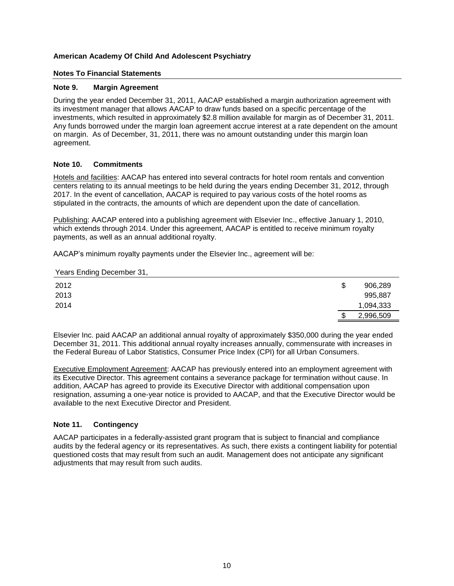#### **Notes To Financial Statements**

#### **Note 9. Margin Agreement**

During the year ended December 31, 2011, AACAP established a margin authorization agreement with its investment manager that allows AACAP to draw funds based on a specific percentage of the investments, which resulted in approximately \$2.8 million available for margin as of December 31, 2011. Any funds borrowed under the margin loan agreement accrue interest at a rate dependent on the amount on margin. As of December, 31, 2011, there was no amount outstanding under this margin loan agreement.

## **Note 10. Commitments**

Hotels and facilities: AACAP has entered into several contracts for hotel room rentals and convention centers relating to its annual meetings to be held during the years ending December 31, 2012, through 2017. In the event of cancellation, AACAP is required to pay various costs of the hotel rooms as stipulated in the contracts, the amounts of which are dependent upon the date of cancellation.

Publishing: AACAP entered into a publishing agreement with Elsevier Inc., effective January 1, 2010, which extends through 2014. Under this agreement, AACAP is entitled to receive minimum royalty payments, as well as an annual additional royalty.

AACAP's minimum royalty payments under the Elsevier Inc., agreement will be:

Years Ending December 31,

| 2012 | \$<br>906,289   |
|------|-----------------|
| 2013 | 995,887         |
| 2014 | 1,094,333       |
|      | \$<br>2,996,509 |

Elsevier Inc. paid AACAP an additional annual royalty of approximately \$350,000 during the year ended December 31, 2011. This additional annual royalty increases annually, commensurate with increases in the Federal Bureau of Labor Statistics, Consumer Price Index (CPI) for all Urban Consumers.

Executive Employment Agreement: AACAP has previously entered into an employment agreement with its Executive Director. This agreement contains a severance package for termination without cause. In addition, AACAP has agreed to provide its Executive Director with additional compensation upon resignation, assuming a one-year notice is provided to AACAP, and that the Executive Director would be available to the next Executive Director and President.

# **Note 11. Contingency**

AACAP participates in a federally-assisted grant program that is subject to financial and compliance audits by the federal agency or its representatives. As such, there exists a contingent liability for potential questioned costs that may result from such an audit. Management does not anticipate any significant adjustments that may result from such audits.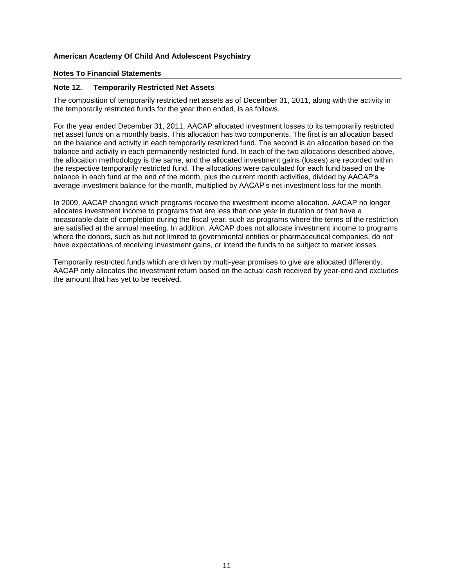#### **Notes To Financial Statements**

## **Note 12. Temporarily Restricted Net Assets**

The composition of temporarily restricted net assets as of December 31, 2011, along with the activity in the temporarily restricted funds for the year then ended, is as follows.

For the year ended December 31, 2011, AACAP allocated investment losses to its temporarily restricted net asset funds on a monthly basis. This allocation has two components. The first is an allocation based on the balance and activity in each temporarily restricted fund. The second is an allocation based on the balance and activity in each permanently restricted fund. In each of the two allocations described above, the allocation methodology is the same, and the allocated investment gains (losses) are recorded within the respective temporarily restricted fund. The allocations were calculated for each fund based on the balance in each fund at the end of the month, plus the current month activities, divided by AACAP's average investment balance for the month, multiplied by AACAP's net investment loss for the month.

In 2009, AACAP changed which programs receive the investment income allocation. AACAP no longer allocates investment income to programs that are less than one year in duration or that have a measurable date of completion during the fiscal year, such as programs where the terms of the restriction are satisfied at the annual meeting. In addition, AACAP does not allocate investment income to programs where the donors, such as but not limited to governmental entities or pharmaceutical companies, do not have expectations of receiving investment gains, or intend the funds to be subject to market losses.

Temporarily restricted funds which are driven by multi-year promises to give are allocated differently. AACAP only allocates the investment return based on the actual cash received by year-end and excludes the amount that has yet to be received.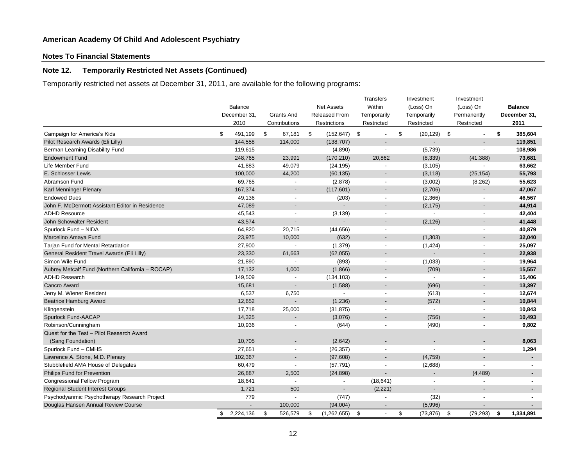# **Notes To Financial Statements**

# **Note 12. Temporarily Restricted Net Assets (Continued)**

Temporarily restricted net assets at December 31, 2011, are available for the following programs:

|                                                   | Balance         |                          | <b>Net Assets</b>        | Transfers<br>Within |                                | Investment<br>(Loss) On  | Investment<br>(Loss) On  | <b>Balance</b>  |
|---------------------------------------------------|-----------------|--------------------------|--------------------------|---------------------|--------------------------------|--------------------------|--------------------------|-----------------|
|                                                   | December 31.    | <b>Grants And</b>        | <b>Released From</b>     | Temporarily         |                                | Temporarily              | Permanently              | December 31,    |
|                                                   | 2010            | Contributions            | Restrictions             | Restricted          |                                | Restricted               | Restricted               | 2011            |
| Campaign for America's Kids                       | \$<br>491,199   | \$<br>67,181             | \$<br>$(152, 647)$ \$    |                     | \$<br>$\overline{\phantom{a}}$ | $(20, 129)$ \$           | $\overline{a}$           | \$<br>385,604   |
| Pilot Research Awards (Eli Lilly)                 | 144,558         | 114,000                  | (138, 707)               |                     |                                | $\overline{a}$           |                          | 119,851         |
| Berman Learning Disability Fund                   | 119,615         | $\overline{\phantom{a}}$ | (4,890)                  |                     | $\overline{a}$                 | (5,739)                  |                          | 108,986         |
| <b>Endowment Fund</b>                             | 248,765         | 23,991                   | (170, 210)               | 20,862              |                                | (8, 339)                 | (41, 388)                | 73,681          |
| Life Member Fund                                  | 41,883          | 49,079                   | (24, 195)                |                     | $\blacksquare$                 | (3, 105)                 |                          | 63,662          |
| E. Schlosser Lewis                                | 100,000         | 44,200                   | (60, 135)                |                     |                                | (3, 118)                 | (25, 154)                | 55,793          |
| Abramson Fund                                     | 69,765          |                          | (2,878)                  |                     | $\blacksquare$                 | (3,002)                  | (8, 262)                 | 55,623          |
| Karl Menninger Plenary                            | 167,374         |                          | (117, 601)               |                     | $\overline{a}$                 | (2,706)                  |                          | 47,067          |
| <b>Endowed Dues</b>                               | 49,136          | $\overline{\phantom{a}}$ | (203)                    |                     | $\overline{\phantom{a}}$       | (2,366)                  |                          | 46,567          |
| John F. McDermott Assistant Editor in Residence   | 47,089          |                          | $\blacksquare$           |                     |                                | (2, 175)                 |                          | 44,914          |
| <b>ADHD Resource</b>                              | 45,543          |                          | (3, 139)                 |                     | $\overline{a}$                 | $\overline{a}$           |                          | 42,404          |
| John Schowalter Resident                          | 43,574          |                          |                          |                     |                                | (2, 126)                 |                          | 41,448          |
| Spurlock Fund - NIDA                              | 64,820          | 20,715                   | (44, 656)                |                     | ÷,                             | $\overline{\phantom{a}}$ |                          | 40,879          |
| Marcelino Amaya Fund                              | 23,975          | 10,000                   | (632)                    |                     |                                | (1, 303)                 |                          | 32,040          |
| Tarjan Fund for Mental Retardation                | 27,900          | $\mathbf{r}$             | (1, 379)                 |                     | $\overline{\phantom{a}}$       | (1, 424)                 |                          | 25,097          |
| General Resident Travel Awards (Eli Lilly)        | 23,330          | 61,663                   | (62,055)                 |                     | $\overline{a}$                 | $\blacksquare$           |                          | 22,938          |
| Simon Wile Fund                                   | 21,890          | $\overline{\phantom{a}}$ | (893)                    |                     | $\overline{\phantom{a}}$       | (1,033)                  |                          | 19,964          |
| Aubrey Metcalf Fund (Northern California - ROCAP) | 17,132          | 1,000                    | (1,866)                  |                     |                                | (709)                    |                          | 15,557          |
| <b>ADHD Research</b>                              | 149,509         |                          | (134, 103)               |                     | $\blacksquare$                 | $\overline{\phantom{a}}$ | $\overline{\phantom{a}}$ | 15,406          |
| Cancro Award                                      | 15,681          |                          | (1,588)                  |                     |                                | (696)                    |                          | 13,397          |
| Jerry M. Wiener Resident                          | 6,537           | 6,750                    | $\mathbf{r}$             |                     |                                | (613)                    |                          | 12,674          |
| <b>Beatrice Hamburg Award</b>                     | 12,652          | $\blacksquare$           | (1,236)                  |                     | $\overline{a}$                 | (572)                    | $\overline{a}$           | 10,844          |
| Klingenstein                                      | 17,718          | 25,000                   | (31, 875)                |                     | $\overline{\phantom{a}}$       | $\blacksquare$           | $\overline{\phantom{a}}$ | 10,843          |
| Spurlock Fund-AACAP                               | 14,325          |                          | (3,076)                  |                     |                                | (756)                    |                          | 10,493          |
| Robinson/Cunningham                               | 10,936          |                          | (644)                    |                     | ÷,                             | (490)                    |                          | 9,802           |
| Quest for the Test - Pilot Research Award         |                 |                          |                          |                     |                                |                          |                          |                 |
| (Sang Foundation)                                 | 10,705          |                          | (2,642)                  |                     |                                |                          |                          | 8,063           |
| Spurlock Fund - CMHS                              | 27,651          |                          | (26, 357)                |                     |                                |                          |                          | 1,294           |
| Lawrence A. Stone, M.D. Plenary                   | 102,367         | $\overline{\phantom{a}}$ | (97,608)                 |                     | $\overline{a}$                 | (4, 759)                 |                          | ٠               |
| Stubblefield AMA House of Delegates               | 60,479          | $\blacksquare$           | (57, 791)                |                     | $\overline{a}$                 | (2,688)                  |                          |                 |
| Philips Fund for Prevention                       | 26,887          | 2,500                    | (24, 898)                |                     | $\blacksquare$                 | $\overline{\phantom{a}}$ | (4, 489)                 |                 |
| <b>Congressional Fellow Program</b>               | 18,641          |                          | $\overline{\phantom{a}}$ | (18, 641)           |                                |                          |                          |                 |
| <b>Regional Student Interest Groups</b>           | 1,721           | 500                      | $\blacksquare$           |                     | (2,221)                        | $\overline{\phantom{a}}$ |                          |                 |
| Psychodyanmic Psychotherapy Research Project      | 779             | $\overline{\phantom{a}}$ | (747)                    |                     | $\blacksquare$                 | (32)                     |                          |                 |
| Douglas Hansen Annual Review Course               |                 | 100,000                  | (94,004)                 |                     | $\overline{\phantom{a}}$       | (5,996)                  |                          |                 |
|                                                   | \$<br>2,224,136 | \$<br>526,579            | \$<br>(1,262,655)        | \$                  | \$<br>$\blacksquare$           | (73, 876)                | \$<br>(79, 293)          | \$<br>1,334,891 |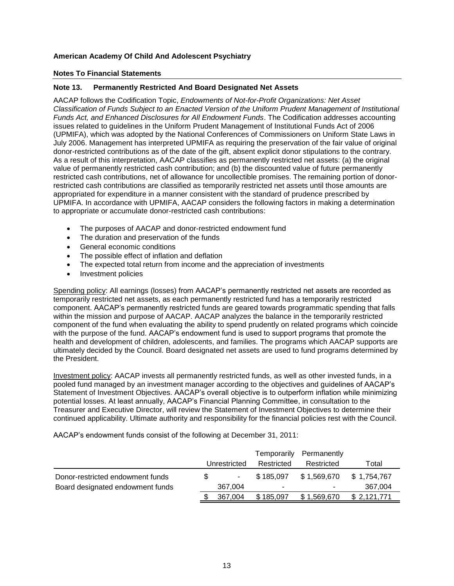#### **Notes To Financial Statements**

## **Note 13. Permanently Restricted And Board Designated Net Assets**

AACAP follows the Codification Topic, *Endowments of Not-for-Profit Organizations: Net Asset Classification of Funds Subject to an Enacted Version of the Uniform Prudent Management of Institutional Funds Act, and Enhanced Disclosures for All Endowment Funds*. The Codification addresses accounting issues related to guidelines in the Uniform Prudent Management of Institutional Funds Act of 2006 (UPMIFA), which was adopted by the National Conferences of Commissioners on Uniform State Laws in July 2006. Management has interpreted UPMIFA as requiring the preservation of the fair value of original donor-restricted contributions as of the date of the gift, absent explicit donor stipulations to the contrary. As a result of this interpretation, AACAP classifies as permanently restricted net assets: (a) the original value of permanently restricted cash contribution; and (b) the discounted value of future permanently restricted cash contributions, net of allowance for uncollectible promises. The remaining portion of donorrestricted cash contributions are classified as temporarily restricted net assets until those amounts are appropriated for expenditure in a manner consistent with the standard of prudence prescribed by UPMIFA. In accordance with UPMIFA, AACAP considers the following factors in making a determination to appropriate or accumulate donor-restricted cash contributions:

- The purposes of AACAP and donor-restricted endowment fund
- The duration and preservation of the funds
- General economic conditions
- The possible effect of inflation and deflation
- The expected total return from income and the appreciation of investments
- Investment policies

Spending policy: All earnings (losses) from AACAP's permanently restricted net assets are recorded as temporarily restricted net assets, as each permanently restricted fund has a temporarily restricted component. AACAP's permanently restricted funds are geared towards programmatic spending that falls within the mission and purpose of AACAP. AACAP analyzes the balance in the temporarily restricted component of the fund when evaluating the ability to spend prudently on related programs which coincide with the purpose of the fund. AACAP's endowment fund is used to support programs that promote the health and development of children, adolescents, and families. The programs which AACAP supports are ultimately decided by the Council. Board designated net assets are used to fund programs determined by the President.

Investment policy: AACAP invests all permanently restricted funds, as well as other invested funds, in a pooled fund managed by an investment manager according to the objectives and guidelines of AACAP's Statement of Investment Objectives. AACAP's overall objective is to outperform inflation while minimizing potential losses. At least annually, AACAP's Financial Planning Committee, in consultation to the Treasurer and Executive Director, will review the Statement of Investment Objectives to determine their continued applicability. Ultimate authority and responsibility for the financial policies rest with the Council.

|                                  |              | Temporarily | Permanently |             |
|----------------------------------|--------------|-------------|-------------|-------------|
|                                  | Unrestricted | Restricted  | Restricted  | Total       |
| Donor-restricted endowment funds | ۰.           | \$185,097   | \$1,569,670 | \$1.754.767 |
| Board designated endowment funds | 367,004      | ۰           | ۰           | 367,004     |
|                                  | 367,004      | \$185,097   | \$1,569,670 | \$2,121,771 |

AACAP's endowment funds consist of the following at December 31, 2011: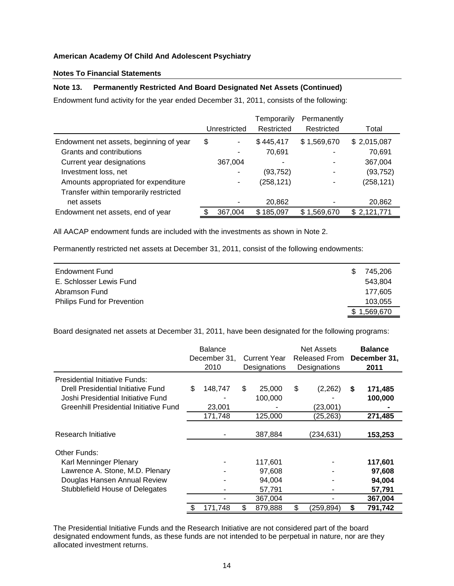# **Notes To Financial Statements**

# **Note 13. Permanently Restricted And Board Designated Net Assets (Continued)**

Endowment fund activity for the year ended December 31, 2011, consists of the following:

|                                         |              | Temporarily | Permanently |             |
|-----------------------------------------|--------------|-------------|-------------|-------------|
|                                         | Unrestricted | Restricted  | Restricted  | Total       |
| Endowment net assets, beginning of year | \$           | \$445,417   | \$1,569,670 | \$2,015,087 |
| Grants and contributions                |              | 70,691      | ۰           | 70,691      |
| Current year designations               | 367,004      |             | ۰           | 367,004     |
| Investment loss, net                    |              | (93,752)    | ٠           | (93, 752)   |
| Amounts appropriated for expenditure    | ۰            | (258, 121)  | ۰           | (258, 121)  |
| Transfer within temporarily restricted  |              |             |             |             |
| net assets                              |              | 20,862      |             | 20,862      |
| Endowment net assets, end of year       | 367.004      | \$185,097   | \$1,569,670 | \$2,121,771 |

All AACAP endowment funds are included with the investments as shown in Note 2.

Permanently restricted net assets at December 31, 2011, consist of the following endowments:

| <b>Endowment Fund</b>              | 745.206   |
|------------------------------------|-----------|
| E. Schlosser Lewis Fund            | 543,804   |
| Abramson Fund                      | 177.605   |
| <b>Philips Fund for Prevention</b> | 103,055   |
|                                    | 1,569,670 |

Board designated net assets at December 31, 2011, have been designated for the following programs:

|                                        |              | <b>Balance</b> |                     |              |               | <b>Net Assets</b> |              | <b>Balance</b> |
|----------------------------------------|--------------|----------------|---------------------|--------------|---------------|-------------------|--------------|----------------|
|                                        | December 31. |                | <b>Current Year</b> |              | Released From |                   | December 31, |                |
|                                        |              | 2010           |                     | Designations |               | Designations      |              | 2011           |
| Presidential Initiative Funds:         |              |                |                     |              |               |                   |              |                |
| Drell Presidential Initiative Fund     | \$           | 148,747        | \$                  | 25,000       | \$            | (2,262)           | \$           | 171,485        |
| Joshi Presidential Initiative Fund     |              |                |                     | 100,000      |               |                   |              | 100,000        |
| Greenhill Presidential Initiative Fund |              | 23,001         |                     |              |               | (23,001)          |              |                |
|                                        |              | 171,748        |                     | 125,000      |               | (25, 263)         |              | 271,485        |
| Research Initiative                    |              |                |                     | 387,884      |               | (234,631)         |              | 153,253        |
| Other Funds:                           |              |                |                     |              |               |                   |              |                |
| Karl Menninger Plenary                 |              |                |                     | 117,601      |               |                   |              | 117,601        |
| Lawrence A. Stone, M.D. Plenary        |              |                |                     | 97,608       |               |                   |              | 97,608         |
| Douglas Hansen Annual Review           |              |                |                     | 94,004       |               |                   |              | 94,004         |
| Stubblefield House of Delegates        |              |                |                     | 57,791       |               |                   |              | 57,791         |
|                                        |              |                |                     | 367,004      |               |                   |              | 367,004        |
|                                        |              | 171,748        | \$                  | 879,888      | \$            | (259,894)         | \$           | 791,742        |

The Presidential Initiative Funds and the Research Initiative are not considered part of the board designated endowment funds, as these funds are not intended to be perpetual in nature, nor are they allocated investment returns.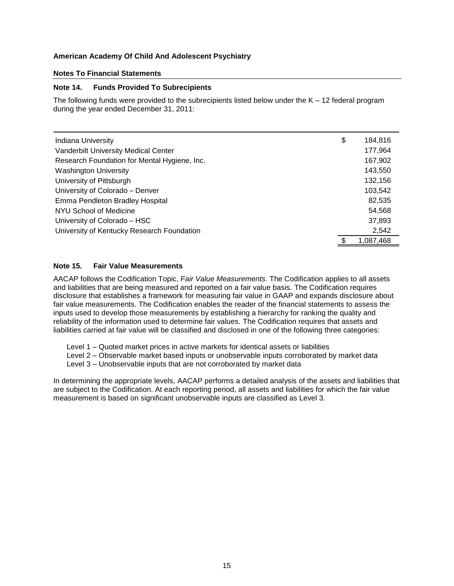#### **Notes To Financial Statements**

# **Note 14. Funds Provided To Subrecipients**

The following funds were provided to the subrecipients listed below under the K – 12 federal program during the year ended December 31, 2011:

| Indiana University                           | \$<br>184,816 |
|----------------------------------------------|---------------|
| Vanderbilt University Medical Center         | 177,964       |
| Research Foundation for Mental Hygiene, Inc. | 167,902       |
| <b>Washington University</b>                 | 143,550       |
| University of Pittsburgh                     | 132,156       |
| University of Colorado - Denver              | 103,542       |
| Emma Pendleton Bradley Hospital              | 82,535        |
| NYU School of Medicine                       | 54,568        |
| University of Colorado - HSC                 | 37,893        |
| University of Kentucky Research Foundation   | 2,542         |
|                                              | 1,087,468     |

#### **Note 15. Fair Value Measurements**

AACAP follows the Codification Topic, *Fair Value Measurements*. The Codification applies to all assets and liabilities that are being measured and reported on a fair value basis. The Codification requires disclosure that establishes a framework for measuring fair value in GAAP and expands disclosure about fair value measurements. The Codification enables the reader of the financial statements to assess the inputs used to develop those measurements by establishing a hierarchy for ranking the quality and reliability of the information used to determine fair values. The Codification requires that assets and liabilities carried at fair value will be classified and disclosed in one of the following three categories:

- Level 1 Quoted market prices in active markets for identical assets or liabilities
- Level 2 Observable market based inputs or unobservable inputs corroborated by market data
- Level 3 Unobservable inputs that are not corroborated by market data

In determining the appropriate levels, AACAP performs a detailed analysis of the assets and liabilities that are subject to the Codification. At each reporting period, all assets and liabilities for which the fair value measurement is based on significant unobservable inputs are classified as Level 3.